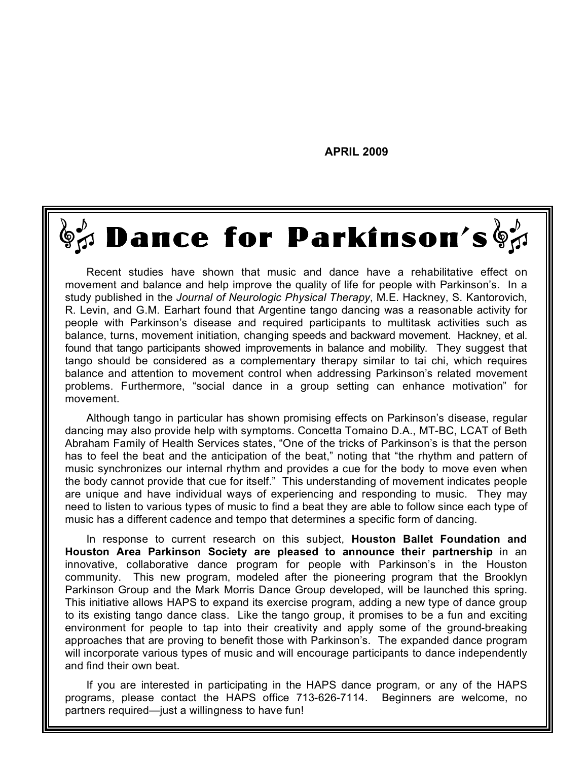**APRIL 2009**

 $\overline{\mathbf{d}}$ 

h

y

e

a

ll

a

s

m

a

n

y

a

s

11

ll

11

,

11

11

11

## $\mathbb{S}^{\omega}_{\mathcal{U}}$  Dance for Parkinson's  $\mathbb{S}^{\omega}_{\mathcal{U}}$

Recent studies have shown that music and dance have a rehabilitative effect on movement and balance and help improve the quality of life for people with Parkinson's. In a study published in the *Journal of Neurologic Physical Therapy*, M.E. Hackney, S. Kantorovich, R. Levin, and G.M. Earhart found that Argentine tango dancing was a reasonable activity for people with Parkinson's disease and required participants to multitask activities such as balance, turns, movement initiation, changing speeds and backward movement. Hackney, et al. found that tango participants showed improvements in balance and mobility. They suggest that tango should be considered as a complementary therapy similar to tai chi, which requires balance and attention to movement control when addressing Parkinson's related movement problems. Furthermore, "social dance in a group setting can enhance motivation" for movement.

Although tango in particular has shown promising effects on Parkinson's disease, regular dancing may also provide help with symptoms. Concetta Tomaino D.A., MT-BC, LCAT of Beth Abraham Family of Health Services states, "One of the tricks of Parkinson's is that the person has to feel the beat and the anticipation of the beat," noting that "the rhythm and pattern of music synchronizes our internal rhythm and provides a cue for the body to move even when the body cannot provide that cue for itself." This understanding of movement indicates people are unique and have individual ways of experiencing and responding to music. They may need to listen to various types of music to find a beat they are able to follow since each type of music has a different cadence and tempo that determines a specific form of dancing.

In response to current research on this subject, **Houston Ballet Foundation and Houston Area Parkinson Society are pleased to announce their partnership** in an innovative, collaborative dance program for people with Parkinson's in the Houston community. This new program, modeled after the pioneering program that the Brooklyn Parkinson Group and the Mark Morris Dance Group developed, will be launched this spring. This initiative allows HAPS to expand its exercise program, adding a new type of dance group to its existing tango dance class. Like the tango group, it promises to be a fun and exciting environment for people to tap into their creativity and apply some of the ground-breaking approaches that are proving to benefit those with Parkinson's. The expanded dance program will incorporate various types of music and will encourage participants to dance independently and find their own beat.

If you are interested in participating in the HAPS dance program, or any of the HAPS programs, please contact the HAPS office 713-626-7114. Beginners are welcome, no partners required—just a willingness to have fun!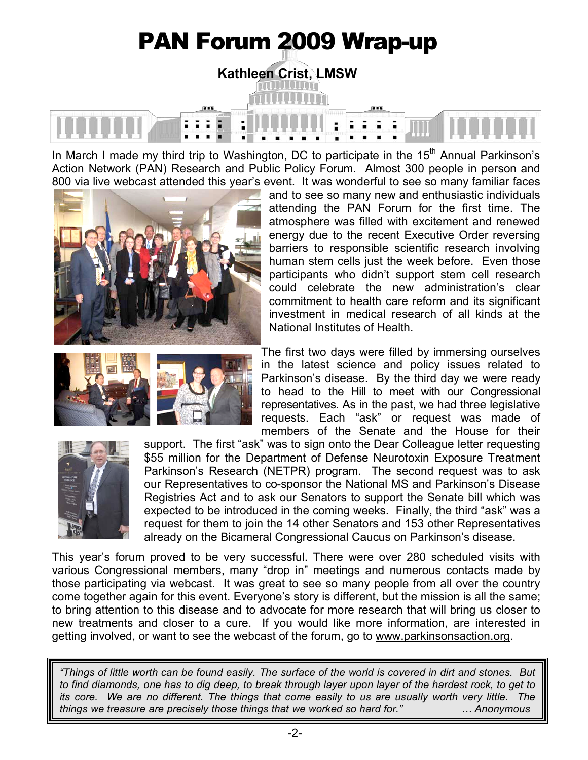# PAN Forum 2009 Wrap-up **Kathleen Crist, LMSW**

In March I made my third trip to Washington, DC to participate in the  $15<sup>th</sup>$  Annual Parkinson's Action Network (PAN) Research and Public Policy Forum. Almost 300 people in person and 800 via live webcast attended this year's event. It was wonderful to see so many familiar faces





and to see so many new and enthusiastic individuals attending the PAN Forum for the first time. The atmosphere was filled with excitement and renewed energy due to the recent Executive Order reversing barriers to responsible scientific research involving human stem cells just the week before. Even those participants who didn't support stem cell research could celebrate the new administration's clear commitment to health care reform and its significant investment in medical research of all kinds at the National Institutes of Health.

The first two days were filled by immersing ourselves in the latest science and policy issues related to Parkinson's disease. By the third day we were ready to head to the Hill to meet with our Congressional representatives. As in the past, we had three legislative requests. Each "ask" or request was made of members of the Senate and the House for their



support. The first "ask" was to sign onto the Dear Colleague letter requesting \$55 million for the Department of Defense Neurotoxin Exposure Treatment Parkinson's Research (NETPR) program. The second request was to ask our Representatives to co-sponsor the National MS and Parkinson's Disease Registries Act and to ask our Senators to support the Senate bill which was expected to be introduced in the coming weeks. Finally, the third "ask" was a request for them to join the 14 other Senators and 153 other Representatives already on the Bicameral Congressional Caucus on Parkinson's disease.

This year's forum proved to be very successful. There were over 280 scheduled visits with various Congressional members, many "drop in" meetings and numerous contacts made by those participating via webcast. It was great to see so many people from all over the country come together again for this event. Everyone's story is different, but the mission is all the same; to bring attention to this disease and to advocate for more research that will bring us closer to new treatments and closer to a cure. If you would like more information, are interested in getting involved, or want to see the webcast of the forum, go to www.parkinsonsaction.org.

*"Things of little worth can be found easily. The surface of the world is covered in dirt and stones. But to find diamonds, one has to dig deep, to break through layer upon layer of the hardest rock, to get to its core. We are no different. The things that come easily to us are usually worth very little. The things we treasure are precisely those things that we worked so hard for." … Anonymous*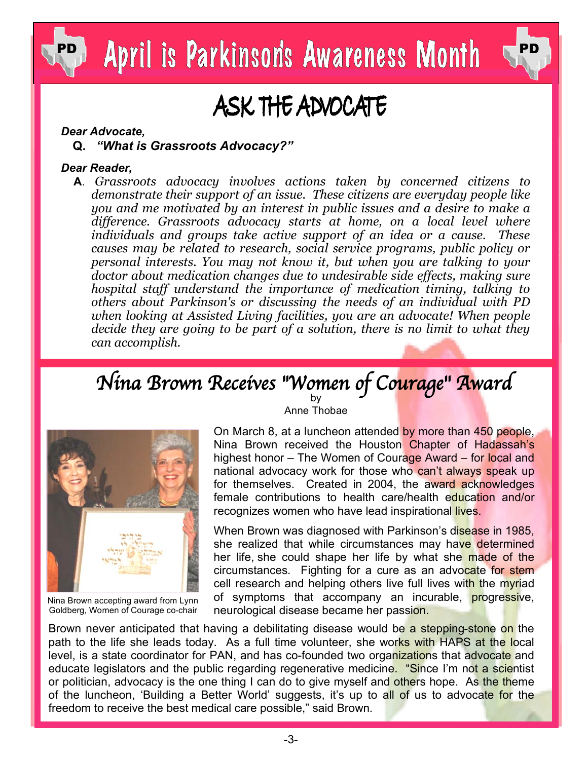



### ASK THE ADVOCATE

#### *Dear Advocate,*

 **Q.** *"What is Grassroots Advocacy?"*

#### *Dear Reader,*

 **A**. *Grassroots advocacy involves actions taken by concerned citizens to demonstrate their support of an issue. These citizens are everyday people like you and me motivated by an interest in public issues and a desire to make a difference. Grassroots advocacy starts at home, on a local level where individuals and groups take active support of an idea or a cause. These causes may be related to research, social service programs, public policy or personal interests. You may not know it, but when you are talking to your doctor about medication changes due to undesirable side effects, making sure hospital staff understand the importance of medication timing, talking to others about Parkinson's or discussing the needs of an individual with PD when looking at Assisted Living facilities, you are an advocate! When people decide they are going to be part of a solution, there is no limit to what they can accomplish.*

### Nina Brown Receives "Women of Courage" Award



Nina Brown accepting award from Lynn Goldberg, Women of Courage co-chair

Anne Thobae

On March 8, at a luncheon attended by more than 450 people, Nina Brown received the Houston Chapter of Hadassah's highest honor – The Women of Courage Award – for local and national advocacy work for those who can't always speak up for themselves. Created in 2004, the award acknowledges female contributions to health care/health education and/or recognizes women who have lead inspirational lives.

When Brown was diagnosed with Parkinson's disease in 1985, she realized that while circumstances may have determined her life, she could shape her life by what she made of the circumstances. Fighting for a cure as an advocate for stem cell research and helping others live full lives with the myriad of symptoms that accompany an incurable, **progressive**, neurological disease became her passion.

Brown never anticipated that having a debilitating disease would be a stepping-stone on the path to the life she leads today. As a full time volunteer, she works with HAPS at the local level, is a state coordinator for PAN, and has co-founded two organizations that advocate and educate legislators and the public regarding regenerative medicine. "Since I'm not a scientist or politician, advocacy is the one thing I can do to give myself and others hope. As the theme of the luncheon, 'Building a Better World' suggests, it's up to all of us to advocate for the freedom to receive the best medical care possible," said Brown.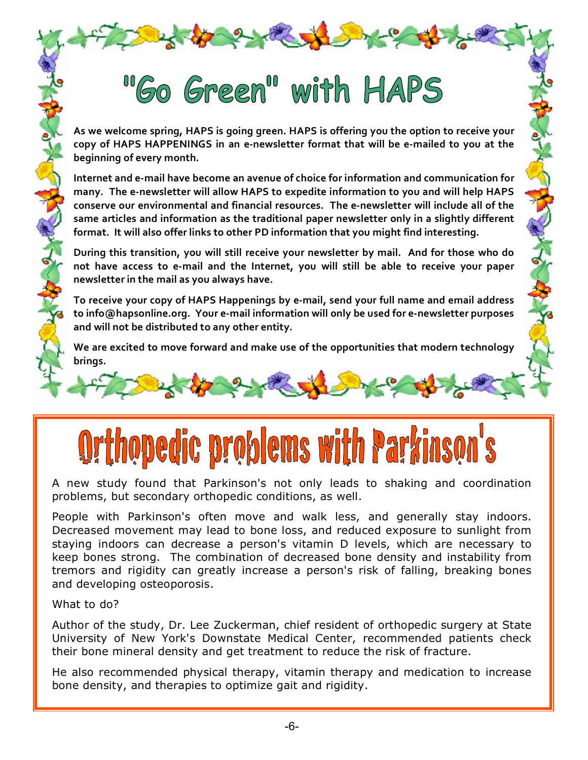## "Go Green" with HAPS

As we welcome spring, HAPS is going green. HAPS is offering you the option to receive your copy of HAPS HAPPENINGS in an e-newsletter format that will be e-mailed to you at the **beginning
of
every
month.**

Internet and e-mail have become an avenue of choice for information and communication for many. The e-newsletter will allow HAPS to expedite information to you and will help HAPS conserve our environmental and financial resources. The e-newsletter will include all of the same articles and information as the traditional paper newsletter only in a slightly different format. It will also offer links to other PD information that you might find interesting.

During this transition, you will still receive your newsletter by mail. And for those who do not have access to e-mail and the Internet, you will still be able to receive your paper **newsletter
in
the
mail
as
you
always
have.**

To receive your copy of HAPS Happenings by e-mail, send your full name and email address to info@hapsonline.org. Your e-mail information will only be used for e-newsletter purposes and will not be distributed to any other entity.

We are excited to move forward and make use of the opportunities that modern technology **brings.** 

# opedic problems with Parkinso

A new study found that Parkinson's not only leads to shaking and coordination problems, but secondary orthopedic conditions, as well.

People with Parkinson's often move and walk less, and generally stay indoors. Decreased movement may lead to bone loss, and reduced exposure to sunlight from staying indoors can decrease a person's vitamin D levels, which are necessary to keep bones strong. The combination of decreased bone density and instability from tremors and rigidity can greatly increase a person's risk of falling, breaking bones and developing osteoporosis.

What to do?

Author of the study, Dr. Lee Zuckerman, chief resident of orthopedic surgery at State University of New York's Downstate Medical Center, recommended patients check their bone mineral density and get treatment to reduce the risk of fracture.

He also recommended physical therapy, vitamin therapy and medication to increase bone density, and therapies to optimize gait and rigidity.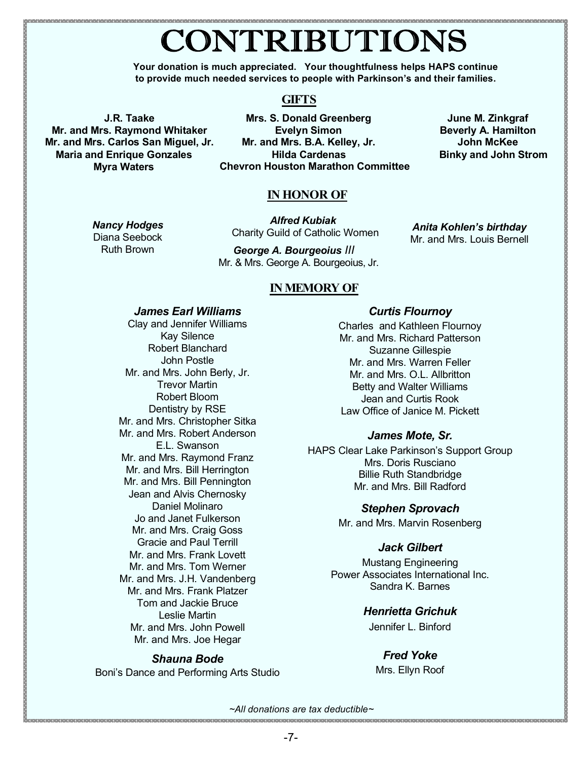### CONTRIBUTIONS

**Your donation is much appreciated. Your thoughtfulness helps HAPS continue to provide much needed services to people with Parkinson's and their families.**

#### **GIFTS**

**J.R. Taake Mr. and Mrs. Raymond Whitaker Mr. and Mrs. Carlos San Miguel, Jr. Maria and Enrique Gonzales Myra Waters**

**Mrs. S. Donald Greenberg Evelyn Simon Mr. and Mrs. B.A. Kelley, Jr. Hilda Cardenas Binky and John Strom Chevron Houston Marathon Committee** 

**June M. Zinkgraf Beverly A. Hamilton John McKee** 

#### **IN HONOR OF**

*Nancy Hodges*

Diana Seebock Ruth Brown

*Alfred Kubiak* Charity Guild of Catholic Women

*George A. Bourgeoius III* Mr. & Mrs. George A. Bourgeoius, Jr.

*Anita Kohlen's birthday* Mr. and Mrs. Louis Bernell

#### **IN MEMORY OF**

#### *James Earl Williams*

Clay and Jennifer Williams Kay Silence Robert Blanchard John Postle Mr. and Mrs. John Berly, Jr. Trevor Martin Robert Bloom Dentistry by RSE Mr. and Mrs. Christopher Sitka Mr. and Mrs. Robert Anderson E.L. Swanson Mr. and Mrs. Raymond Franz Mr. and Mrs. Bill Herrington Mr. and Mrs. Bill Pennington Jean and Alvis Chernosky Daniel Molinaro Jo and Janet Fulkerson Mr. and Mrs. Craig Goss Gracie and Paul Terrill Mr. and Mrs. Frank Lovett Mr. and Mrs. Tom Werner Mr. and Mrs. J.H. Vandenberg Mr. and Mrs. Frank Platzer Tom and Jackie Bruce Leslie Martin Mr. and Mrs. John Powell Mr. and Mrs. Joe Hegar

#### *Shauna Bode*

Boni's Dance and Performing Arts Studio

#### *Curtis Flournoy*

Charles and Kathleen Flournoy Mr. and Mrs. Richard Patterson Suzanne Gillespie Mr. and Mrs. Warren Feller Mr. and Mrs. O.L. Allbritton Betty and Walter Williams Jean and Curtis Rook Law Office of Janice M. Pickett

#### *James Mote, Sr.*

HAPS Clear Lake Parkinson's Support Group Mrs. Doris Rusciano Billie Ruth Standbridge Mr. and Mrs. Bill Radford

#### *Stephen Sprovach*

Mr. and Mrs. Marvin Rosenberg

#### *Jack Gilbert*

Mustang Engineering Power Associates International Inc. Sandra K. Barnes

#### *Henrietta Grichuk*

Jennifer L. Binford

#### *Fred Yoke*

Mrs. Ellyn Roof

*~All donations are tax deductible~*